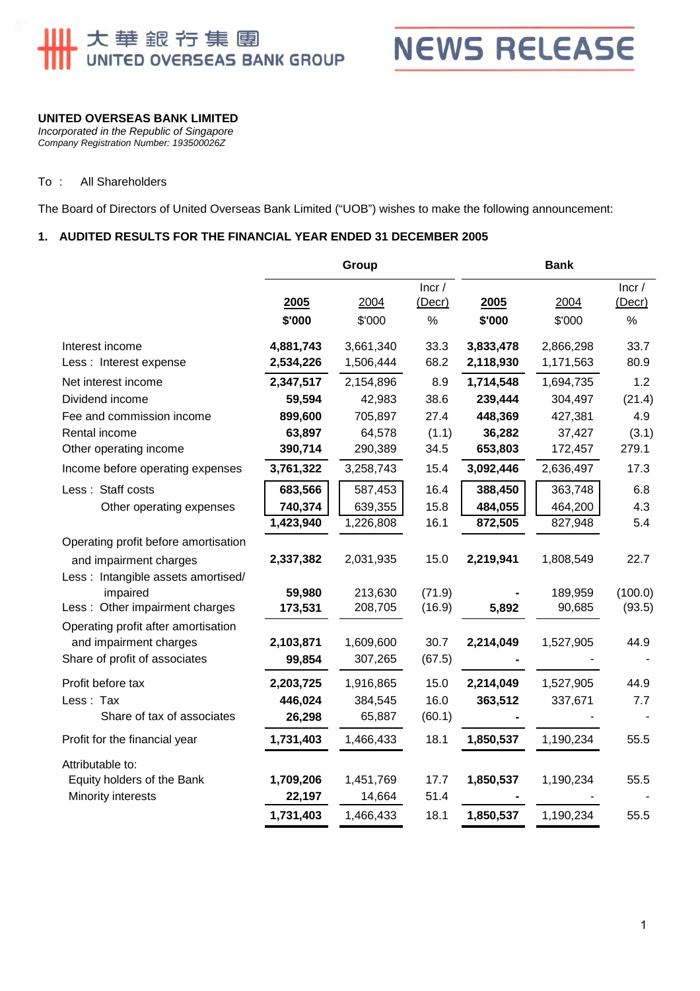



#### **UNITED OVERSEAS BANK LIMITED**

*Incorporated in the Republic of Singapore Company Registration Number: 193500026Z* 

#### To : All Shareholders

The Board of Directors of United Overseas Bank Limited ("UOB") wishes to make the following announcement:

#### **1. AUDITED RESULTS FOR THE FINANCIAL YEAR ENDED 31 DECEMBER 2005**

|                                      | Group     |           |                       | <b>Bank</b> |           |                 |
|--------------------------------------|-----------|-----------|-----------------------|-------------|-----------|-----------------|
|                                      | 2005      | 2004      | Incr/<br>$($ Decr $)$ | 2005        | 2004      | Incr/<br>(Decr) |
|                                      | \$'000    | \$'000    | %                     | \$'000      | \$'000    | %               |
| Interest income                      | 4,881,743 | 3,661,340 | 33.3                  | 3,833,478   | 2,866,298 | 33.7            |
| Less : Interest expense              | 2,534,226 | 1,506,444 | 68.2                  | 2,118,930   | 1,171,563 | 80.9            |
| Net interest income                  | 2,347,517 | 2,154,896 | 8.9                   | 1,714,548   | 1,694,735 | 1.2             |
| Dividend income                      | 59,594    | 42,983    | 38.6                  | 239,444     | 304,497   | (21.4)          |
| Fee and commission income            | 899,600   | 705,897   | 27.4                  | 448,369     | 427,381   | 4.9             |
| Rental income                        | 63,897    | 64,578    | (1.1)                 | 36,282      | 37,427    | (3.1)           |
| Other operating income               | 390,714   | 290,389   | 34.5                  | 653,803     | 172,457   | 279.1           |
| Income before operating expenses     | 3,761,322 | 3,258,743 | 15.4                  | 3,092,446   | 2,636,497 | 17.3            |
| Less: Staff costs                    | 683,566   | 587,453   | 16.4                  | 388,450     | 363,748   | 6.8             |
| Other operating expenses             | 740,374   | 639,355   | 15.8                  | 484,055     | 464,200   | 4.3             |
|                                      | 1,423,940 | 1,226,808 | 16.1                  | 872,505     | 827,948   | 5.4             |
| Operating profit before amortisation |           |           |                       |             |           |                 |
| and impairment charges               | 2,337,382 | 2,031,935 | 15.0                  | 2,219,941   | 1,808,549 | 22.7            |
| Less : Intangible assets amortised/  |           |           |                       |             |           |                 |
| impaired                             | 59,980    | 213,630   | (71.9)                |             | 189,959   | (100.0)         |
| Less: Other impairment charges       | 173,531   | 208,705   | (16.9)                | 5,892       | 90,685    | (93.5)          |
| Operating profit after amortisation  |           |           |                       |             |           |                 |
| and impairment charges               | 2,103,871 | 1,609,600 | 30.7                  | 2,214,049   | 1,527,905 | 44.9            |
| Share of profit of associates        | 99,854    | 307,265   | (67.5)                |             |           |                 |
| Profit before tax                    | 2,203,725 | 1,916,865 | 15.0                  | 2,214,049   | 1,527,905 | 44.9            |
| Less: Tax                            | 446,024   | 384,545   | 16.0                  | 363,512     | 337,671   | 7.7             |
| Share of tax of associates           | 26,298    | 65,887    | (60.1)                |             |           |                 |
| Profit for the financial year        | 1,731,403 | 1,466,433 | 18.1                  | 1,850,537   | 1,190,234 | 55.5            |
| Attributable to:                     |           |           |                       |             |           |                 |
| Equity holders of the Bank           | 1,709,206 | 1,451,769 | 17.7                  | 1,850,537   | 1,190,234 | 55.5            |
| Minority interests                   | 22,197    | 14,664    | 51.4                  |             |           |                 |
|                                      | 1,731,403 | 1,466,433 | 18.1                  | 1,850,537   | 1,190,234 | 55.5            |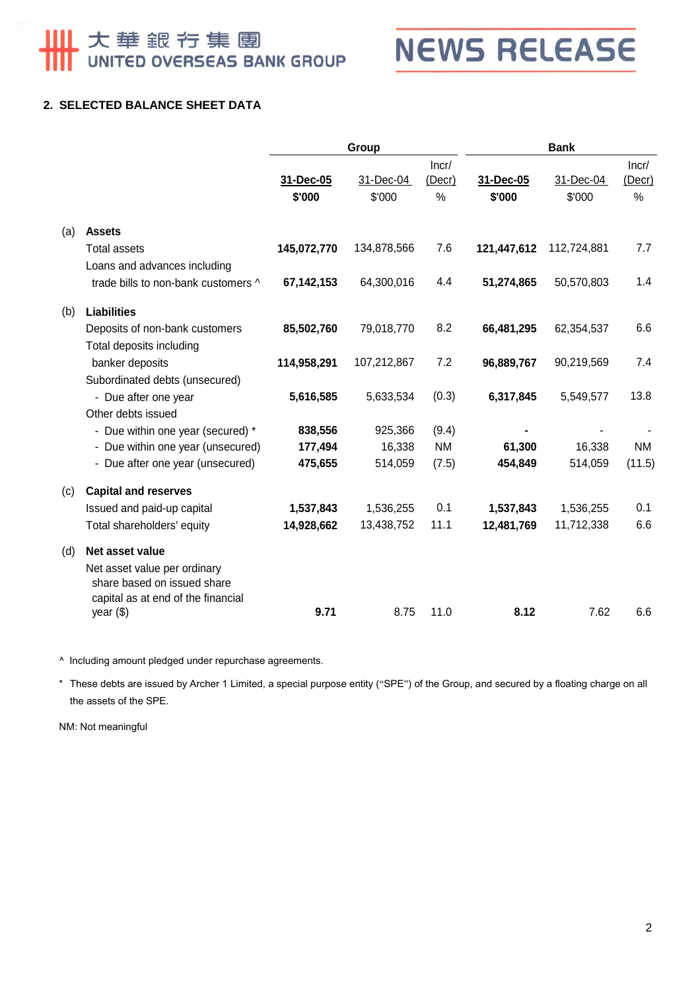大華銀行集團<br>UNITED OVERSEAS BANK GROUP

**NEWS RELEASE** 

## **2. SELECTED BALANCE SHEET DATA**

|     |                                                                                                   | Group       |             | <b>Bank</b>     |             |             |                 |
|-----|---------------------------------------------------------------------------------------------------|-------------|-------------|-----------------|-------------|-------------|-----------------|
|     |                                                                                                   | 31-Dec-05   | 31-Dec-04   | Incr/<br>(Decr) | 31-Dec-05   | 31-Dec-04   | Incr/<br>(Decr) |
|     |                                                                                                   | \$'000      | \$'000      | %               | \$'000      | \$'000      | %               |
| (a) | <b>Assets</b>                                                                                     |             |             |                 |             |             |                 |
|     | <b>Total assets</b>                                                                               | 145,072,770 | 134,878,566 | 7.6             | 121,447,612 | 112,724,881 | 7.7             |
|     | Loans and advances including                                                                      |             |             |                 |             |             |                 |
|     | trade bills to non-bank customers ^                                                               | 67,142,153  | 64,300,016  | 4.4             | 51,274,865  | 50,570,803  | 1.4             |
| (b) | Liabilities                                                                                       |             |             |                 |             |             |                 |
|     | Deposits of non-bank customers                                                                    | 85,502,760  | 79,018,770  | 8.2             | 66,481,295  | 62,354,537  | 6.6             |
|     | Total deposits including                                                                          |             |             |                 |             |             |                 |
|     | banker deposits                                                                                   | 114,958,291 | 107,212,867 | 7.2             | 96,889,767  | 90,219,569  | 7.4             |
|     | Subordinated debts (unsecured)                                                                    |             |             |                 |             |             |                 |
|     | - Due after one year                                                                              | 5,616,585   | 5,633,534   | (0.3)           | 6,317,845   | 5,549,577   | 13.8            |
|     | Other debts issued                                                                                |             |             |                 |             |             |                 |
|     | - Due within one year (secured) *                                                                 | 838,556     | 925,366     | (9.4)           |             |             | <b>NM</b>       |
|     | - Due within one year (unsecured)                                                                 | 177,494     | 16,338      | <b>NM</b>       | 61,300      | 16,338      |                 |
|     | - Due after one year (unsecured)                                                                  | 475,655     | 514,059     | (7.5)           | 454,849     | 514,059     | (11.5)          |
| (c) | <b>Capital and reserves</b>                                                                       |             |             |                 |             |             |                 |
|     | Issued and paid-up capital                                                                        | 1,537,843   | 1,536,255   | 0.1             | 1,537,843   | 1,536,255   | 0.1             |
|     | Total shareholders' equity                                                                        | 14,928,662  | 13,438,752  | 11.1            | 12,481,769  | 11,712,338  | 6.6             |
| (d) | Net asset value                                                                                   |             |             |                 |             |             |                 |
|     | Net asset value per ordinary<br>share based on issued share<br>capital as at end of the financial |             |             |                 |             |             |                 |
|     | year (\$)                                                                                         | 9.71        | 8.75        | 11.0            | 8.12        | 7.62        | 6.6             |

^ Including amount pledged under repurchase agreements.

\* These debts are issued by Archer 1 Limited, a special purpose entity ("SPE") of the Group, and secured by a floating charge on all the assets of the SPE.

NM: Not meaningful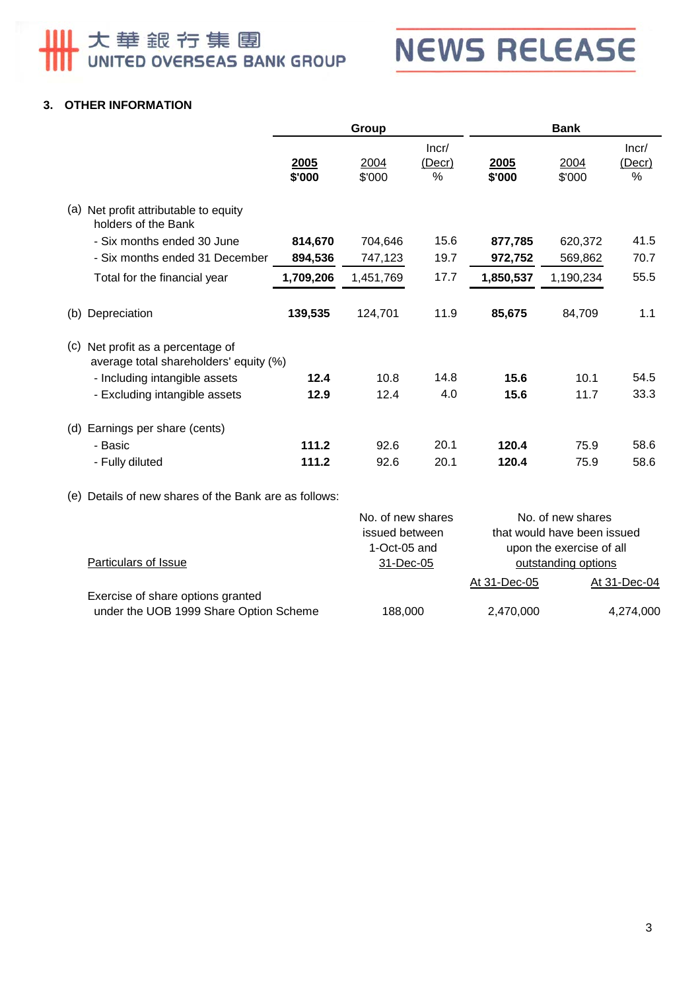大華銀行集團<br>UNITED OVERSEAS BANK GROUP

**NEWS RELEASE** 

### **3. OTHER INFORMATION**

|                                                                                              | Group          |                |                      | <b>Bank</b>    |                |                                  |
|----------------------------------------------------------------------------------------------|----------------|----------------|----------------------|----------------|----------------|----------------------------------|
|                                                                                              | 2005<br>\$'000 | 2004<br>\$'000 | Incr/<br>(Decr)<br>% | 2005<br>\$'000 | 2004<br>\$'000 | Incr/<br>(Decr)<br>$\frac{0}{0}$ |
| Net profit attributable to equity<br>(a)<br>holders of the Bank                              |                |                |                      |                |                |                                  |
| - Six months ended 30 June                                                                   | 814,670        | 704,646        | 15.6                 | 877,785        | 620,372        | 41.5                             |
| - Six months ended 31 December                                                               | 894,536        | 747,123        | 19.7                 | 972,752        | 569,862        | 70.7                             |
| Total for the financial year                                                                 | 1,709,206      | 1,451,769      | 17.7                 | 1,850,537      | 1,190,234      | 55.5                             |
| Depreciation<br>(b)                                                                          | 139,535        | 124,701        | 11.9                 | 85,675         | 84,709         | 1.1                              |
| $\left( c\right)$<br>Net profit as a percentage of<br>average total shareholders' equity (%) |                |                |                      |                |                |                                  |
| - Including intangible assets                                                                | 12.4           | 10.8           | 14.8                 | 15.6           | 10.1           | 54.5                             |
| - Excluding intangible assets                                                                | 12.9           | 12.4           | 4.0                  | 15.6           | 11.7           | 33.3                             |
| Earnings per share (cents)<br>(d)                                                            |                |                |                      |                |                |                                  |
| - Basic                                                                                      | 111.2          | 92.6           | 20.1                 | 120.4          | 75.9           | 58.6                             |
| - Fully diluted                                                                              | 111.2          | 92.6           | 20.1                 | 120.4          | 75.9           | 58.6                             |

(e) Details of new shares of the Bank are as follows:

|                                        | No. of new shares | No. of new shares   |                             |
|----------------------------------------|-------------------|---------------------|-----------------------------|
|                                        | issued between    |                     | that would have been issued |
|                                        | 1-Oct-05 and      |                     | upon the exercise of all    |
| Particulars of Issue                   | 31-Dec-05         | outstanding options |                             |
|                                        |                   | At 31-Dec-05        | At 31-Dec-04                |
| Exercise of share options granted      |                   |                     |                             |
| under the UOB 1999 Share Option Scheme | 188,000           | 2,470,000           | 4,274,000                   |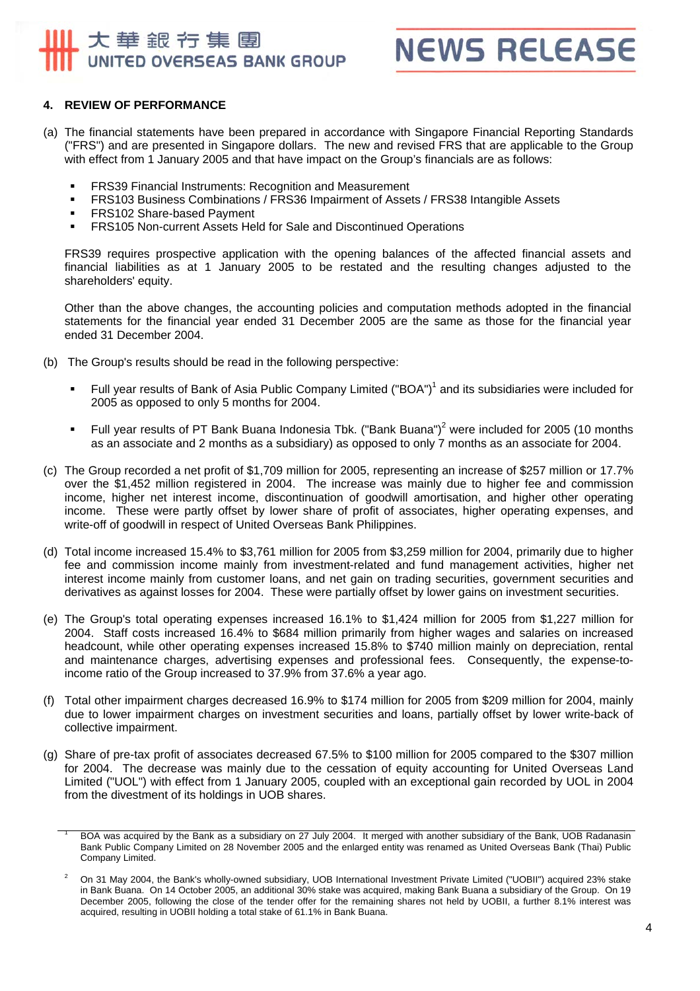## 大華銀行集團 UNITED OVERSEAS BANK GROUP



#### **4. REVIEW OF PERFORMANCE**

- (a) The financial statements have been prepared in accordance with Singapore Financial Reporting Standards ("FRS") and are presented in Singapore dollars. The new and revised FRS that are applicable to the Group with effect from 1 January 2005 and that have impact on the Group's financials are as follows:
	- **FRS39 Financial Instruments: Recognition and Measurement**
	- FRS103 Business Combinations / FRS36 Impairment of Assets / FRS38 Intangible Assets
	- **FRS102 Share-based Payment**
	- **FRS105 Non-current Assets Held for Sale and Discontinued Operations**

FRS39 requires prospective application with the opening balances of the affected financial assets and financial liabilities as at 1 January 2005 to be restated and the resulting changes adjusted to the shareholders' equity.

Other than the above changes, the accounting policies and computation methods adopted in the financial statements for the financial year ended 31 December 2005 are the same as those for the financial year ended 31 December 2004.

- (b) The Group's results should be read in the following perspective:
	- Full year results of Bank of Asia Public Company Limited ("BOA")<sup>1</sup> and its subsidiaries were included for 2005 as opposed to only 5 months for 2004.
	- Full year results of PT Bank Buana Indonesia Tbk. ("Bank Buana")<sup>2</sup> were included for 2005 (10 months as an associate and 2 months as a subsidiary) as opposed to only 7 months as an associate for 2004.
- (c) The Group recorded a net profit of \$1,709 million for 2005, representing an increase of \$257 million or 17.7% over the \$1,452 million registered in 2004. The increase was mainly due to higher fee and commission income, higher net interest income, discontinuation of goodwill amortisation, and higher other operating income. These were partly offset by lower share of profit of associates, higher operating expenses, and write-off of goodwill in respect of United Overseas Bank Philippines.
- (d) Total income increased 15.4% to \$3,761 million for 2005 from \$3,259 million for 2004, primarily due to higher fee and commission income mainly from investment-related and fund management activities, higher net interest income mainly from customer loans, and net gain on trading securities, government securities and derivatives as against losses for 2004. These were partially offset by lower gains on investment securities.
- (e) The Group's total operating expenses increased 16.1% to \$1,424 million for 2005 from \$1,227 million for 2004. Staff costs increased 16.4% to \$684 million primarily from higher wages and salaries on increased headcount, while other operating expenses increased 15.8% to \$740 million mainly on depreciation, rental and maintenance charges, advertising expenses and professional fees. Consequently, the expense-toincome ratio of the Group increased to 37.9% from 37.6% a year ago.
- (f) Total other impairment charges decreased 16.9% to \$174 million for 2005 from \$209 million for 2004, mainly due to lower impairment charges on investment securities and loans, partially offset by lower write-back of collective impairment.
- (g) Share of pre-tax profit of associates decreased 67.5% to \$100 million for 2005 compared to the \$307 million for 2004. The decrease was mainly due to the cessation of equity accounting for United Overseas Land Limited ("UOL") with effect from 1 January 2005, coupled with an exceptional gain recorded by UOL in 2004 from the divestment of its holdings in UOB shares.

<sup>1</sup> BOA was acquired by the Bank as a subsidiary on 27 July 2004. It merged with another subsidiary of the Bank, UOB Radanasin Bank Public Company Limited on 28 November 2005 and the enlarged entity was renamed as United Overseas Bank (Thai) Public Company Limited.

<sup>2</sup> On 31 May 2004, the Bank's wholly-owned subsidiary, UOB International Investment Private Limited ("UOBII") acquired 23% stake in Bank Buana. On 14 October 2005, an additional 30% stake was acquired, making Bank Buana a subsidiary of the Group. On 19 December 2005, following the close of the tender offer for the remaining shares not held by UOBII, a further 8.1% interest was acquired, resulting in UOBII holding a total stake of 61.1% in Bank Buana.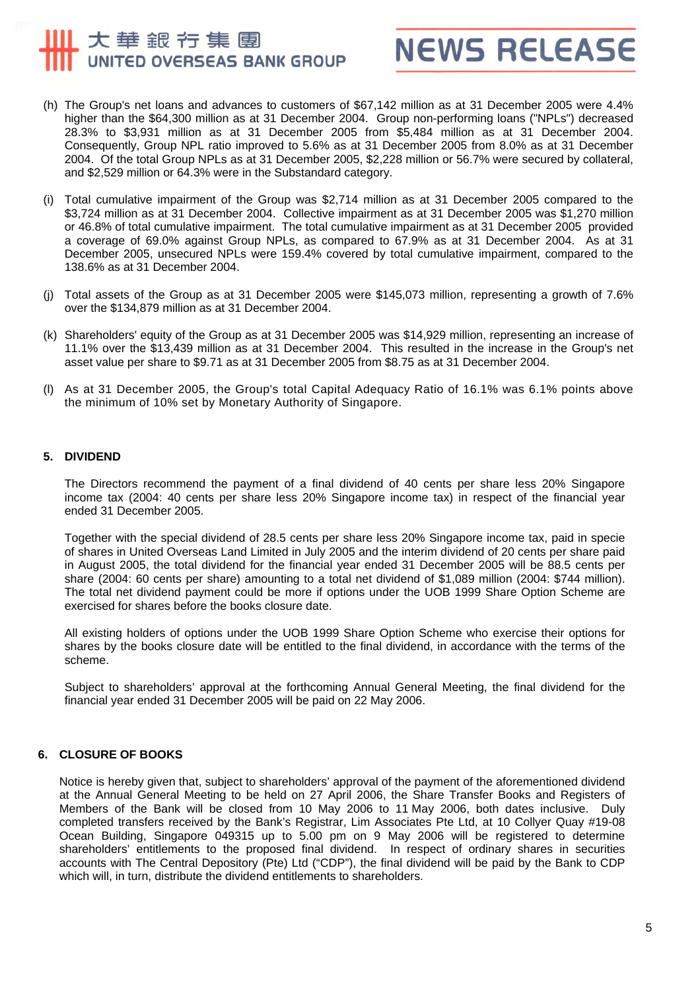# 大華銀行集團 UNITED OVERSEAS BANK GROUP



- (h) The Group's net loans and advances to customers of \$67,142 million as at 31 December 2005 were 4.4% higher than the \$64,300 million as at 31 December 2004. Group non-performing loans ("NPLs") decreased 28.3% to \$3,931 million as at 31 December 2005 from \$5,484 million as at 31 December 2004. Consequently, Group NPL ratio improved to 5.6% as at 31 December 2005 from 8.0% as at 31 December 2004. Of the total Group NPLs as at 31 December 2005, \$2,228 million or 56.7% were secured by collateral, and \$2,529 million or 64.3% were in the Substandard category.
- (i) Total cumulative impairment of the Group was \$2,714 million as at 31 December 2005 compared to the \$3,724 million as at 31 December 2004. Collective impairment as at 31 December 2005 was \$1,270 million or 46.8% of total cumulative impairment. The total cumulative impairment as at 31 December 2005 provided a coverage of 69.0% against Group NPLs, as compared to 67.9% as at 31 December 2004. As at 31 December 2005, unsecured NPLs were 159.4% covered by total cumulative impairment, compared to the 138.6% as at 31 December 2004.
- (j) Total assets of the Group as at 31 December 2005 were \$145,073 million, representing a growth of 7.6% over the \$134,879 million as at 31 December 2004.
- (k) Shareholders' equity of the Group as at 31 December 2005 was \$14,929 million, representing an increase of 11.1% over the \$13,439 million as at 31 December 2004. This resulted in the increase in the Group's net asset value per share to \$9.71 as at 31 December 2005 from \$8.75 as at 31 December 2004.
- (l) As at 31 December 2005, the Group's total Capital Adequacy Ratio of 16.1% was 6.1% points above the minimum of 10% set by Monetary Authority of Singapore.

#### **5. DIVIDEND**

The Directors recommend the payment of a final dividend of 40 cents per share less 20% Singapore income tax (2004: 40 cents per share less 20% Singapore income tax) in respect of the financial year ended 31 December 2005.

Together with the special dividend of 28.5 cents per share less 20% Singapore income tax, paid in specie of shares in United Overseas Land Limited in July 2005 and the interim dividend of 20 cents per share paid in August 2005, the total dividend for the financial year ended 31 December 2005 will be 88.5 cents per share (2004: 60 cents per share) amounting to a total net dividend of \$1,089 million (2004: \$744 million). The total net dividend payment could be more if options under the UOB 1999 Share Option Scheme are exercised for shares before the books closure date.

All existing holders of options under the UOB 1999 Share Option Scheme who exercise their options for shares by the books closure date will be entitled to the final dividend, in accordance with the terms of the scheme.

Subject to shareholders' approval at the forthcoming Annual General Meeting, the final dividend for the financial year ended 31 December 2005 will be paid on 22 May 2006.

#### **6. CLOSURE OF BOOKS**

Notice is hereby given that, subject to shareholders' approval of the payment of the aforementioned dividend at the Annual General Meeting to be held on 27 April 2006, the Share Transfer Books and Registers of Members of the Bank will be closed from 10 May 2006 to 11 May 2006, both dates inclusive. Duly completed transfers received by the Bank's Registrar, Lim Associates Pte Ltd, at 10 Collyer Quay #19-08 Ocean Building, Singapore 049315 up to 5.00 pm on 9 May 2006 will be registered to determine shareholders' entitlements to the proposed final dividend. In respect of ordinary shares in securities accounts with The Central Depository (Pte) Ltd ("CDP"), the final dividend will be paid by the Bank to CDP which will, in turn, distribute the dividend entitlements to shareholders.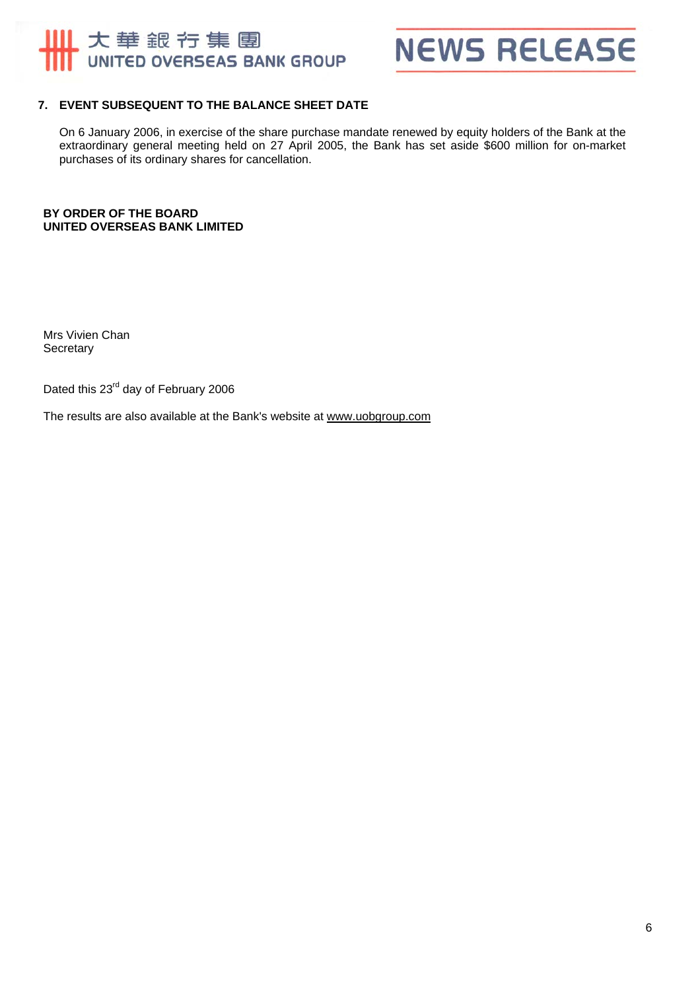



#### **7. EVENT SUBSEQUENT TO THE BALANCE SHEET DATE**

On 6 January 2006, in exercise of the share purchase mandate renewed by equity holders of the Bank at the extraordinary general meeting held on 27 April 2005, the Bank has set aside \$600 million for on-market purchases of its ordinary shares for cancellation.

**BY ORDER OF THE BOARD UNITED OVERSEAS BANK LIMITED** 

 Mrs Vivien Chan **Secretary** 

Dated this 23<sup>rd</sup> day of February 2006

The results are also available at the Bank's website at www.uobgroup.com